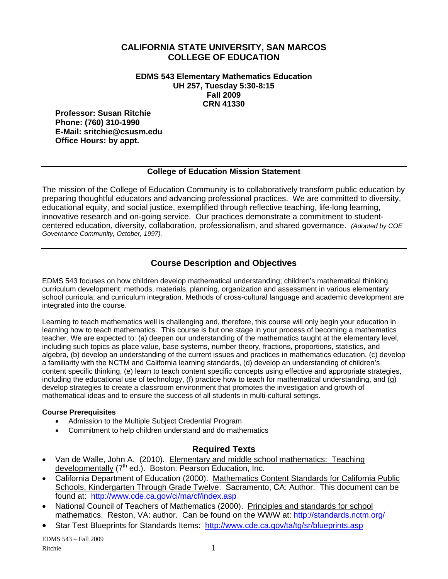#### **CALIFORNIA STATE UNIVERSITY, SAN MARCOS COLLEGE OF EDUCATION**

**EDMS 543 Elementary Mathematics Education UH 257, Tuesday 5:30-8:15 Fall 2009 CRN 41330** 

**Professor: Susan Ritchie Phone: (760) 310-1990 E-Mail: sritchie@csusm.edu Office Hours: by appt.** 

#### **College of Education Mission Statement**

The mission of the College of Education Community is to collaboratively transform public education by preparing thoughtful educators and advancing professional practices. We are committed to diversity, educational equity, and social justice, exemplified through reflective teaching, life-long learning, innovative research and on-going service. Our practices demonstrate a commitment to studentcentered education, diversity, collaboration, professionalism, and shared governance. *(Adopted by COE Governance Community, October, 1997).* 

# **Course Description and Objectives**

EDMS 543 focuses on how children develop mathematical understanding; children's mathematical thinking, curriculum development; methods, materials, planning, organization and assessment in various elementary school curricula; and curriculum integration. Methods of cross-cultural language and academic development are integrated into the course.

Learning to teach mathematics well is challenging and, therefore, this course will only begin your education in learning how to teach mathematics. This course is but one stage in your process of becoming a mathematics teacher. We are expected to: (a) deepen our understanding of the mathematics taught at the elementary level, including such topics as place value, base systems, number theory, fractions, proportions, statistics, and algebra, (b) develop an understanding of the current issues and practices in mathematics education, (c) develop a familiarity with the NCTM and California learning standards, (d) develop an understanding of children's content specific thinking, (e) learn to teach content specific concepts using effective and appropriate strategies, including the educational use of technology, (f) practice how to teach for mathematical understanding, and (g) develop strategies to create a classroom environment that promotes the investigation and growth of mathematical ideas and to ensure the success of all students in multi-cultural settings.

#### **Course Prerequisites**

- Admission to the Multiple Subject Credential Program
- • Commitment to help children understand and do mathematics

## **Required Texts**

- Van de Walle, John A. (2010). Elementary and middle school mathematics: Teaching developmentally (7<sup>th</sup> ed.). Boston: Pearson Education, Inc.
- California Department of Education (2000). Mathematics Content Standards for California Public Schools, Kindergarten Through Grade Twelve. Sacramento, CA: Author. This document can be found at: http://www.cde.ca.gov/ci/ma/cf/index.asp
- National Council of Teachers of Mathematics (2000). Principles and standards for school mathematics. Reston, VA: author. Can be found on the WWW at: http://standards.nctm.org/
- Star Test Blueprints for Standards Items: http://www.cde.ca.gov/ta/tg/sr/blueprints.asp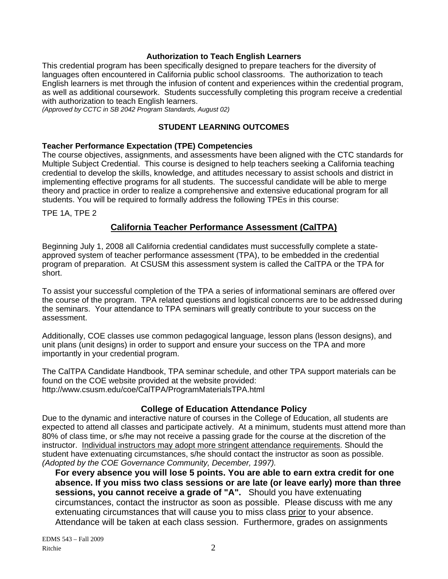#### **Authorization to Teach English Learners**

This credential program has been specifically designed to prepare teachers for the diversity of languages often encountered in California public school classrooms. The authorization to teach English learners is met through the infusion of content and experiences within the credential program, as well as additional coursework. Students successfully completing this program receive a credential with authorization to teach English learners.

*(Approved by CCTC in SB 2042 Program Standards, August 02)* 

#### **STUDENT LEARNING OUTCOMES**

#### **Teacher Performance Expectation (TPE) Competencies**

The course objectives, assignments, and assessments have been aligned with the CTC standards for Multiple Subject Credential. This course is designed to help teachers seeking a California teaching credential to develop the skills, knowledge, and attitudes necessary to assist schools and district in implementing effective programs for all students. The successful candidate will be able to merge theory and practice in order to realize a comprehensive and extensive educational program for all students. You will be required to formally address the following TPEs in this course:

TPE 1A, TPE 2

## **California Teacher Performance Assessment (CalTPA)**

Beginning July 1, 2008 all California credential candidates must successfully complete a stateapproved system of teacher performance assessment (TPA), to be embedded in the credential program of preparation. At CSUSM this assessment system is called the CalTPA or the TPA for short.

To assist your successful completion of the TPA a series of informational seminars are offered over the course of the program. TPA related questions and logistical concerns are to be addressed during the seminars. Your attendance to TPA seminars will greatly contribute to your success on the assessment.

Additionally, COE classes use common pedagogical language, lesson plans (lesson designs), and unit plans (unit designs) in order to support and ensure your success on the TPA and more importantly in your credential program.

The CalTPA Candidate Handbook, TPA seminar schedule, and other TPA support materials can be found on the COE website provided at the website provided: http://www.csusm.edu/coe/CalTPA/ProgramMaterialsTPA.html

#### **College of Education Attendance Policy**

Due to the dynamic and interactive nature of courses in the College of Education, all students are expected to attend all classes and participate actively. At a minimum, students must attend more than 80% of class time, or s/he may not receive a passing grade for the course at the discretion of the instructor. Individual instructors may adopt more stringent attendance requirements. Should the student have extenuating circumstances, s/he should contact the instructor as soon as possible. *(Adopted by the COE Governance Community, December, 1997).* 

**For every absence you will lose 5 points. You are able to earn extra credit for one absence. If you miss two class sessions or are late (or leave early) more than three sessions, you cannot receive a grade of "A".** Should you have extenuating circumstances, contact the instructor as soon as possible. Please discuss with me any extenuating circumstances that will cause you to miss class prior to your absence. Attendance will be taken at each class session. Furthermore, grades on assignments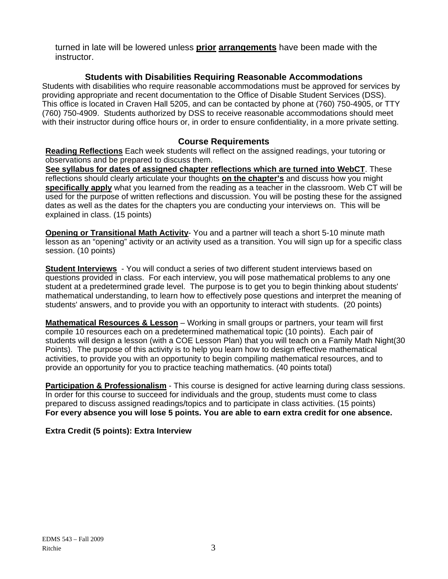turned in late will be lowered unless **prior arrangements** have been made with the instructor.

# **Students with Disabilities Requiring Reasonable Accommodations**

Students with disabilities who require reasonable accommodations must be approved for services by providing appropriate and recent documentation to the Office of Disable Student Services (DSS). This office is located in Craven Hall 5205, and can be contacted by phone at (760) 750-4905, or TTY (760) 750-4909. Students authorized by DSS to receive reasonable accommodations should meet with their instructor during office hours or, in order to ensure confidentiality, in a more private setting.

# **Course Requirements**

**Reading Reflections** Each week students will reflect on the assigned readings, your tutoring or observations and be prepared to discuss them.

**See syllabus for dates of assigned chapter reflections which are turned into WebCT**. These reflections should clearly articulate your thoughts **on the chapter's** and discuss how you might **specifically apply** what you learned from the reading as a teacher in the classroom. Web CT will be used for the purpose of written reflections and discussion. You will be posting these for the assigned dates as well as the dates for the chapters you are conducting your interviews on. This will be explained in class. (15 points)

**Opening or Transitional Math Activity**- You and a partner will teach a short 5-10 minute math lesson as an "opening" activity or an activity used as a transition. You will sign up for a specific class session. (10 points)

**Student Interviews** - You will conduct a series of two different student interviews based on questions provided in class. For each interview, you will pose mathematical problems to any one student at a predetermined grade level. The purpose is to get you to begin thinking about students' mathematical understanding, to learn how to effectively pose questions and interpret the meaning of students' answers, and to provide you with an opportunity to interact with students. (20 points)

**Mathematical Resources & Lesson** – Working in small groups or partners, your team will first compile 10 resources each on a predetermined mathematical topic (10 points). Each pair of students will design a lesson (with a COE Lesson Plan) that you will teach on a Family Math Night(30 Points). The purpose of this activity is to help you learn how to design effective mathematical activities, to provide you with an opportunity to begin compiling mathematical resources, and to provide an opportunity for you to practice teaching mathematics. (40 points total)

**Participation & Professionalism** - This course is designed for active learning during class sessions. In order for this course to succeed for individuals and the group, students must come to class prepared to discuss assigned readings/topics and to participate in class activities. (15 points) **For every absence you will lose 5 points. You are able to earn extra credit for one absence.** 

## **Extra Credit (5 points): Extra Interview**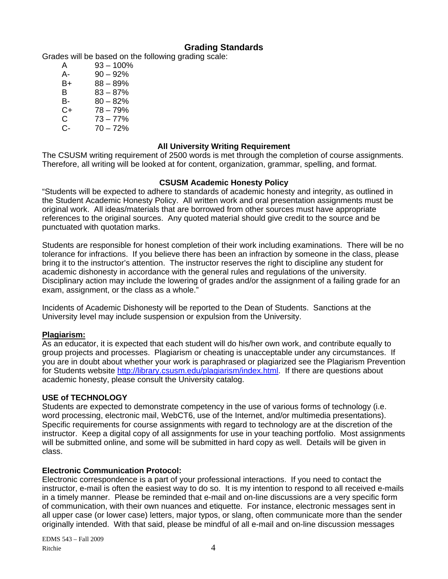# **Grading Standards**

Grades will be based on the following grading scale:

| A  | $93 - 100\%$ |
|----|--------------|
| А- | $90 - 92%$   |
| B+ | $88 - 89%$   |
| B. | $83 - 87%$   |
| B- | $80 - 82%$   |
| C+ | $78 - 79%$   |
| C. | $73 - 77%$   |
| C- | $70 - 72%$   |

#### **All University Writing Requirement**

The CSUSM writing requirement of 2500 words is met through the completion of course assignments. Therefore, all writing will be looked at for content, organization, grammar, spelling, and format.

#### **CSUSM Academic Honesty Policy**

"Students will be expected to adhere to standards of academic honesty and integrity, as outlined in the Student Academic Honesty Policy. All written work and oral presentation assignments must be original work. All ideas/materials that are borrowed from other sources must have appropriate references to the original sources. Any quoted material should give credit to the source and be punctuated with quotation marks.

Students are responsible for honest completion of their work including examinations. There will be no tolerance for infractions. If you believe there has been an infraction by someone in the class, please bring it to the instructor's attention. The instructor reserves the right to discipline any student for academic dishonesty in accordance with the general rules and regulations of the university. Disciplinary action may include the lowering of grades and/or the assignment of a failing grade for an exam, assignment, or the class as a whole."

Incidents of Academic Dishonesty will be reported to the Dean of Students. Sanctions at the University level may include suspension or expulsion from the University.

#### **Plagiarism:**

As an educator, it is expected that each student will do his/her own work, and contribute equally to group projects and processes. Plagiarism or cheating is unacceptable under any circumstances. If you are in doubt about whether your work is paraphrased or plagiarized see the Plagiarism Prevention for Students website http://library.csusm.edu/plagiarism/index.html. If there are questions about academic honesty, please consult the University catalog.

#### **USE of TECHNOLOGY**

Students are expected to demonstrate competency in the use of various forms of technology (i.e. word processing, electronic mail, WebCT6, use of the Internet, and/or multimedia presentations). Specific requirements for course assignments with regard to technology are at the discretion of the instructor. Keep a digital copy of all assignments for use in your teaching portfolio. Most assignments will be submitted online, and some will be submitted in hard copy as well. Details will be given in class.

#### **Electronic Communication Protocol:**

Electronic correspondence is a part of your professional interactions. If you need to contact the instructor, e-mail is often the easiest way to do so. It is my intention to respond to all received e-mails in a timely manner. Please be reminded that e-mail and on-line discussions are a very specific form of communication, with their own nuances and etiquette. For instance, electronic messages sent in all upper case (or lower case) letters, major typos, or slang, often communicate more than the sender originally intended. With that said, please be mindful of all e-mail and on-line discussion messages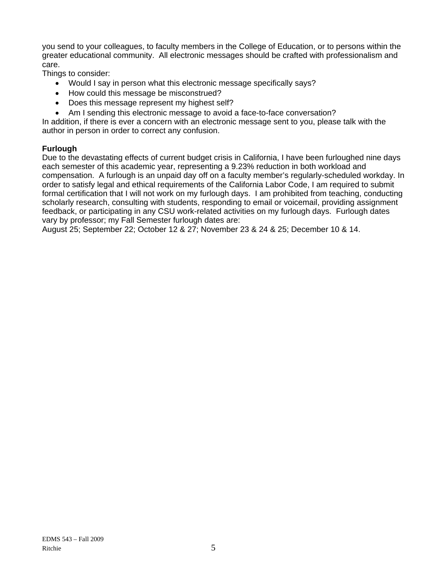you send to your colleagues, to faculty members in the College of Education, or to persons within the greater educational community. All electronic messages should be crafted with professionalism and care.

Things to consider:

- Would I say in person what this electronic message specifically says?
- How could this message be misconstrued?
- Does this message represent my highest self?
- Am I sending this electronic message to avoid a face-to-face conversation?

In addition, if there is ever a concern with an electronic message sent to you, please talk with the author in person in order to correct any confusion.

#### **Furlough**

Due to the devastating effects of current budget crisis in California, I have been furloughed nine days each semester of this academic year, representing a 9.23% reduction in both workload and compensation. A furlough is an unpaid day off on a faculty member's regularly-scheduled workday. In order to satisfy legal and ethical requirements of the California Labor Code, I am required to submit formal certification that I will not work on my furlough days. I am prohibited from teaching, conducting scholarly research, consulting with students, responding to email or voicemail, providing assignment feedback, or participating in any CSU work-related activities on my furlough days. Furlough dates vary by professor; my Fall Semester furlough dates are:

August 25; September 22; October 12 & 27; November 23 & 24 & 25; December 10 & 14.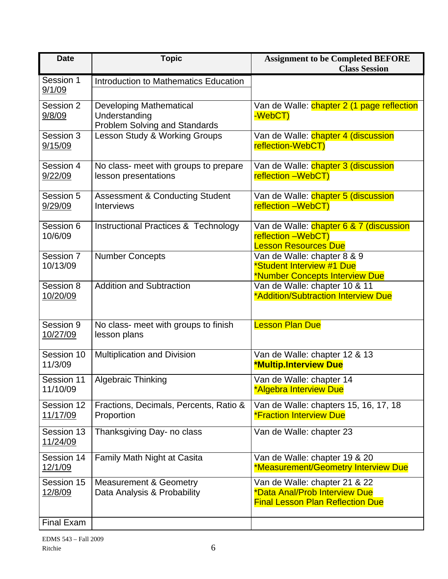| <b>Date</b>            | <b>Topic</b>                                                                            | <b>Assignment to be Completed BEFORE</b><br><b>Class Session</b>                                          |
|------------------------|-----------------------------------------------------------------------------------------|-----------------------------------------------------------------------------------------------------------|
| Session 1<br>9/1/09    | Introduction to Mathematics Education                                                   |                                                                                                           |
| Session 2<br>9/8/09    | <b>Developing Mathematical</b><br>Understanding<br><b>Problem Solving and Standards</b> | Van de Walle: chapter 2 (1 page reflection<br>-WebCT)                                                     |
| Session 3<br>9/15/09   | Lesson Study & Working Groups                                                           | Van de Walle: chapter 4 (discussion<br>reflection-WebCT)                                                  |
| Session 4<br>9/22/09   | No class- meet with groups to prepare<br>lesson presentations                           | Van de Walle: chapter 3 (discussion<br>reflection -WebCT)                                                 |
| Session 5<br>9/29/09   | <b>Assessment &amp; Conducting Student</b><br><b>Interviews</b>                         | Van de Walle: chapter 5 (discussion<br>reflection -WebCT)                                                 |
| Session 6<br>10/6/09   | <b>Instructional Practices &amp; Technology</b>                                         | Van de Walle: chapter 6 & 7 (discussion<br>reflection -WebCT)<br><b>Lesson Resources Due</b>              |
| Session 7<br>10/13/09  | <b>Number Concepts</b>                                                                  | Van de Walle: chapter 8 & 9<br>*Student Interview #1 Due<br>*Number Concepts Interview Due                |
| Session 8<br>10/20/09  | <b>Addition and Subtraction</b>                                                         | Van de Walle: chapter 10 & 11<br>*Addition/Subtraction Interview Due                                      |
| Session 9<br>10/27/09  | No class- meet with groups to finish<br>lesson plans                                    | <b>Lesson Plan Due</b>                                                                                    |
| Session 10<br>11/3/09  | Multiplication and Division                                                             | Van de Walle: chapter 12 & 13<br><b>*Multip.Interview Due</b>                                             |
| Session 11<br>11/10/09 | <b>Algebraic Thinking</b>                                                               | Van de Walle: chapter 14<br>*Algebra Interview Due                                                        |
| Session 12<br>11/17/09 | Fractions, Decimals, Percents, Ratio &<br>Proportion                                    | Van de Walle: chapters 15, 16, 17, 18<br><b>*Fraction Interview Due</b>                                   |
| Session 13<br>11/24/09 | Thanksgiving Day- no class                                                              | Van de Walle: chapter 23                                                                                  |
| Session 14<br>12/1/09  | Family Math Night at Casita                                                             | Van de Walle: chapter 19 & 20<br>*Measurement/Geometry Interview Due                                      |
| Session 15<br>12/8/09  | <b>Measurement &amp; Geometry</b><br>Data Analysis & Probability                        | Van de Walle: chapter 21 & 22<br>*Data Anal/Prob Interview Due<br><b>Final Lesson Plan Reflection Due</b> |
| Final Exam             |                                                                                         |                                                                                                           |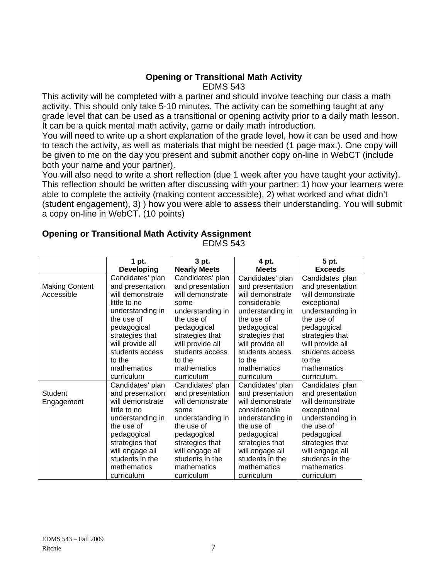## **Opening or Transitional Math Activity** EDMS 543

This activity will be completed with a partner and should involve teaching our class a math activity. This should only take 5-10 minutes. The activity can be something taught at any grade level that can be used as a transitional or opening activity prior to a daily math lesson. It can be a quick mental math activity, game or daily math introduction.

You will need to write up a short explanation of the grade level, how it can be used and how to teach the activity, as well as materials that might be needed (1 page max.). One copy will be given to me on the day you present and submit another copy on-line in WebCT (include both your name and your partner).

You will also need to write a short reflection (due 1 week after you have taught your activity). This reflection should be written after discussing with your partner: 1) how your learners were able to complete the activity (making content accessible), 2) what worked and what didn't (student engagement), 3) ) how you were able to assess their understanding. You will submit a copy on-line in WebCT. (10 points)

|                       | 1 pt.             | 3 pt.               | 4 pt.            | 5 pt.            |
|-----------------------|-------------------|---------------------|------------------|------------------|
|                       | <b>Developing</b> | <b>Nearly Meets</b> | <b>Meets</b>     | <b>Exceeds</b>   |
|                       | Candidates' plan  | Candidates' plan    | Candidates' plan | Candidates' plan |
| <b>Making Content</b> | and presentation  | and presentation    | and presentation | and presentation |
| Accessible            | will demonstrate  | will demonstrate    | will demonstrate | will demonstrate |
|                       | little to no      | some                | considerable     | exceptional      |
|                       | understanding in  | understanding in    | understanding in | understanding in |
|                       | the use of        | the use of          | the use of       | the use of       |
|                       | pedagogical       | pedagogical         | pedagogical      | pedagogical      |
|                       | strategies that   | strategies that     | strategies that  | strategies that  |
|                       | will provide all  | will provide all    | will provide all | will provide all |
|                       | students access   | students access     | students access  | students access  |
|                       | to the            | to the              | to the           | to the           |
|                       | mathematics       | mathematics         | mathematics      | mathematics      |
|                       | curriculum        | curriculum          | curriculum       | curriculum.      |
|                       | Candidates' plan  | Candidates' plan    | Candidates' plan | Candidates' plan |
| <b>Student</b>        | and presentation  | and presentation    | and presentation | and presentation |
| Engagement            | will demonstrate  | will demonstrate    | will demonstrate | will demonstrate |
|                       | little to no      | some                | considerable     | exceptional      |
|                       | understanding in  | understanding in    | understanding in | understanding in |
|                       | the use of        | the use of          | the use of       | the use of       |
|                       | pedagogical       | pedagogical         | pedagogical      | pedagogical      |
|                       | strategies that   | strategies that     | strategies that  | strategies that  |
|                       | will engage all   | will engage all     | will engage all  | will engage all  |
|                       | students in the   | students in the     | students in the  | students in the  |
|                       | mathematics       | mathematics         | mathematics      | mathematics      |
|                       | curriculum        | curriculum          | curriculum       | curriculum       |

# **Opening or Transitional Math Activity Assignment**

EDMS 543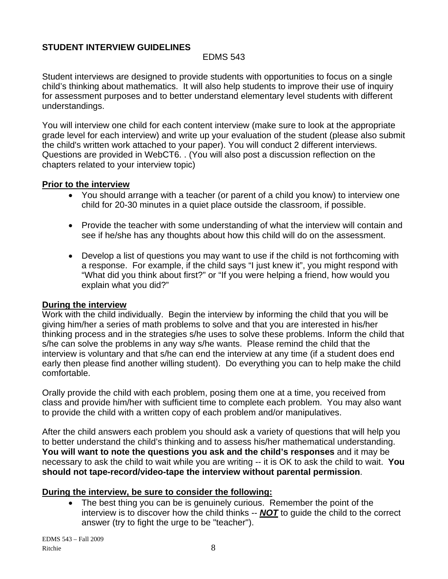# **STUDENT INTERVIEW GUIDELINES**

## EDMS 543

Student interviews are designed to provide students with opportunities to focus on a single child's thinking about mathematics. It will also help students to improve their use of inquiry for assessment purposes and to better understand elementary level students with different understandings.

You will interview one child for each content interview (make sure to look at the appropriate grade level for each interview) and write up your evaluation of the student (please also submit the child's written work attached to your paper). You will conduct 2 different interviews. Questions are provided in WebCT6. . (You will also post a discussion reflection on the chapters related to your interview topic)

#### **Prior to the interview**

- You should arrange with a teacher (or parent of a child you know) to interview one child for 20-30 minutes in a quiet place outside the classroom, if possible.
- Provide the teacher with some understanding of what the interview will contain and see if he/she has any thoughts about how this child will do on the assessment.
- Develop a list of questions you may want to use if the child is not forthcoming with a response. For example, if the child says "I just knew it", you might respond with "What did you think about first?" or "If you were helping a friend, how would you explain what you did?"

## **During the interview**

Work with the child individually. Begin the interview by informing the child that you will be giving him/her a series of math problems to solve and that you are interested in his/her thinking process and in the strategies s/he uses to solve these problems. Inform the child that s/he can solve the problems in any way s/he wants. Please remind the child that the interview is voluntary and that s/he can end the interview at any time (if a student does end early then please find another willing student). Do everything you can to help make the child comfortable.

Orally provide the child with each problem, posing them one at a time, you received from class and provide him/her with sufficient time to complete each problem. You may also want to provide the child with a written copy of each problem and/or manipulatives.

After the child answers each problem you should ask a variety of questions that will help you to better understand the child's thinking and to assess his/her mathematical understanding. **You will want to note the questions you ask and the child's responses** and it may be necessary to ask the child to wait while you are writing -- it is OK to ask the child to wait. **You should not tape-record/video-tape the interview without parental permission**.

## **During the interview, be sure to consider the following:**

The best thing you can be is genuinely curious. Remember the point of the interview is to discover how the child thinks -- *NOT* to guide the child to the correct answer (try to fight the urge to be "teacher").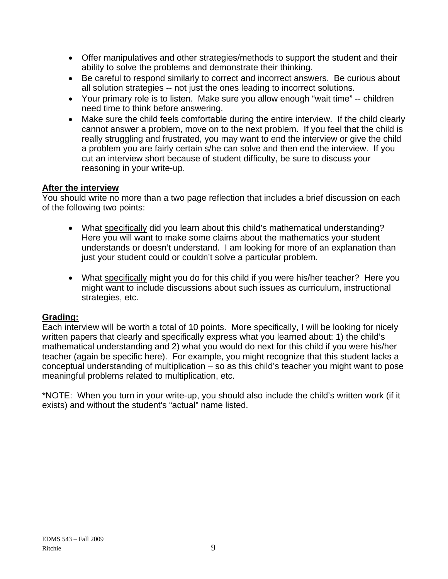- Offer manipulatives and other strategies/methods to support the student and their ability to solve the problems and demonstrate their thinking.
- Be careful to respond similarly to correct and incorrect answers. Be curious about all solution strategies -- not just the ones leading to incorrect solutions.
- Your primary role is to listen. Make sure you allow enough "wait time" -- children need time to think before answering.
- Make sure the child feels comfortable during the entire interview. If the child clearly cannot answer a problem, move on to the next problem. If you feel that the child is really struggling and frustrated, you may want to end the interview or give the child a problem you are fairly certain s/he can solve and then end the interview. If you cut an interview short because of student difficulty, be sure to discuss your reasoning in your write-up.

# **After the interview**

You should write no more than a two page reflection that includes a brief discussion on each of the following two points:

- What specifically did you learn about this child's mathematical understanding? Here you will want to make some claims about the mathematics your student understands or doesn't understand. I am looking for more of an explanation than just your student could or couldn't solve a particular problem.
- What specifically might you do for this child if you were his/her teacher? Here you might want to include discussions about such issues as curriculum, instructional strategies, etc.

# **Grading:**

Each interview will be worth a total of 10 points. More specifically, I will be looking for nicely written papers that clearly and specifically express what you learned about: 1) the child's mathematical understanding and 2) what you would do next for this child if you were his/her teacher (again be specific here). For example, you might recognize that this student lacks a conceptual understanding of multiplication – so as this child's teacher you might want to pose meaningful problems related to multiplication, etc.

\*NOTE: When you turn in your write-up, you should also include the child's written work (if it exists) and without the student's "actual" name listed.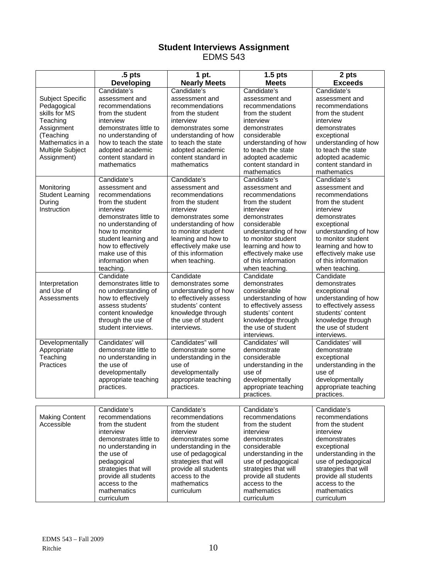#### **Student Interviews Assignment**  EDMS 543

|                                      | .5 <sub>pts</sub>                            | 1 pt.                                        | 1.5 <sub>pts</sub>                           | 2 pts                                        |
|--------------------------------------|----------------------------------------------|----------------------------------------------|----------------------------------------------|----------------------------------------------|
|                                      | <b>Developing</b>                            | <b>Nearly Meets</b>                          | <b>Meets</b>                                 | <b>Exceeds</b>                               |
|                                      | Candidate's                                  | Candidate's                                  | Candidate's                                  | Candidate's                                  |
| Subject Specific                     | assessment and                               | assessment and                               | assessment and                               | assessment and                               |
| Pedagogical                          | recommendations                              | recommendations                              | recommendations                              | recommendations                              |
| skills for MS                        | from the student                             | from the student                             | from the student                             | from the student                             |
| Teaching                             | interview                                    | interview                                    | interview                                    | interview                                    |
| Assignment                           | demonstrates little to                       | demonstrates some                            | demonstrates                                 | demonstrates                                 |
| (Teaching                            | no understanding of                          | understanding of how                         | considerable                                 | exceptional                                  |
| Mathematics in a<br>Multiple Subject | how to teach the state<br>adopted academic   | to teach the state                           | understanding of how<br>to teach the state   | understanding of how<br>to teach the state   |
| Assignment)                          | content standard in                          | adopted academic<br>content standard in      | adopted academic                             | adopted academic                             |
|                                      | mathematics                                  | mathematics                                  | content standard in                          | content standard in                          |
|                                      |                                              |                                              | mathematics                                  | mathematics                                  |
|                                      | Candidate's                                  | Candidate's                                  | Candidate's                                  | Candidate's                                  |
| Monitoring                           | assessment and                               | assessment and                               | assessment and                               | assessment and                               |
| <b>Student Learning</b>              | recommendations                              | recommendations                              | recommendations                              | recommendations                              |
| During                               | from the student                             | from the student                             | from the student                             | from the student                             |
| Instruction                          | interview                                    | interview                                    | interview                                    | interview                                    |
|                                      | demonstrates little to                       | demonstrates some                            | demonstrates                                 | demonstrates                                 |
|                                      | no understanding of                          | understanding of how                         | considerable                                 | exceptional                                  |
|                                      | how to monitor                               | to monitor student                           | understanding of how                         | understanding of how                         |
|                                      | student learning and                         | learning and how to                          | to monitor student                           | to monitor student                           |
|                                      | how to effectively<br>make use of this       | effectively make use<br>of this information  | learning and how to                          | learning and how to                          |
|                                      | information when                             | when teaching.                               | effectively make use<br>of this information  | effectively make use<br>of this information  |
|                                      | teaching.                                    |                                              | when teaching.                               | when teaching.                               |
|                                      | Candidate                                    | Candidate                                    | Candidate                                    | Candidate                                    |
| Interpretation                       | demonstrates little to                       | demonstrates some                            | demonstrates                                 | demonstrates                                 |
| and Use of                           | no understanding of                          | understanding of how                         | considerable                                 | exceptional                                  |
| Assessments                          | how to effectively                           | to effectively assess                        | understanding of how                         | understanding of how                         |
|                                      | assess students'                             | students' content                            | to effectively assess                        | to effectively assess                        |
|                                      | content knowledge                            | knowledge through                            | students' content                            | students' content                            |
|                                      | through the use of                           | the use of student                           | knowledge through                            | knowledge through                            |
|                                      | student interviews.                          | interviews.                                  | the use of student                           | the use of student                           |
|                                      |                                              |                                              | interviews.                                  | interviews.                                  |
| Developmentally                      | Candidates' will                             | Candidates" will                             | Candidates' will                             | Candidates' will                             |
| Appropriate                          | demonstrate little to                        | demonstrate some                             | demonstrate                                  | demonstrate                                  |
| Teaching<br>Practices                | no understanding in                          | understanding in the                         | considerable                                 | exceptional                                  |
|                                      | the use of<br>developmentally                | use of<br>developmentally                    | understanding in the<br>use of               | understanding in the<br>use of               |
|                                      | appropriate teaching                         | appropriate teaching                         | developmentally                              | developmentally                              |
|                                      | practices.                                   | practices.                                   | appropriate teaching                         | appropriate teaching                         |
|                                      |                                              |                                              | practices.                                   | practices.                                   |
|                                      |                                              |                                              |                                              |                                              |
|                                      | Candidate's                                  | Candidate's                                  | Candidate's                                  | Candidate's                                  |
| <b>Making Content</b>                | recommendations                              | recommendations                              | recommendations                              | recommendations                              |
| Accessible                           | from the student                             | from the student                             | from the student                             | from the student                             |
|                                      | interview                                    | interview                                    | interview                                    | interview                                    |
|                                      | demonstrates little to                       | demonstrates some                            | demonstrates                                 | demonstrates                                 |
|                                      | no understanding in                          | understanding in the                         | considerable                                 | exceptional                                  |
|                                      | the use of                                   | use of pedagogical                           | understanding in the                         | understanding in the                         |
|                                      | pedagogical                                  | strategies that will<br>provide all students | use of pedagogical                           | use of pedagogical                           |
|                                      | strategies that will<br>provide all students | access to the                                | strategies that will<br>provide all students | strategies that will<br>provide all students |
|                                      | access to the                                | mathematics                                  | access to the                                | access to the                                |
|                                      | mathematics                                  | curriculum                                   | mathematics                                  | mathematics                                  |
|                                      | curriculum                                   |                                              | curriculum                                   | curriculum                                   |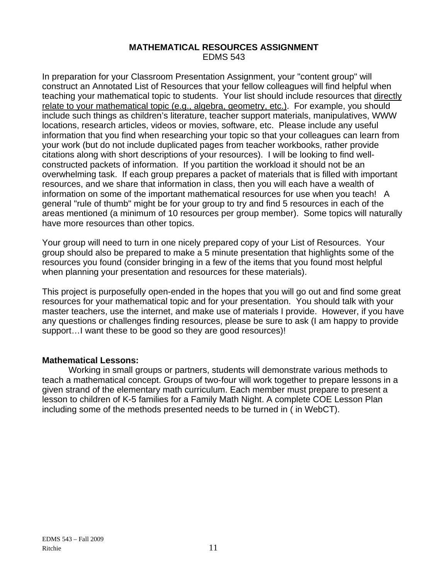#### **MATHEMATICAL RESOURCES ASSIGNMENT**  EDMS 543

In preparation for your Classroom Presentation Assignment, your "content group" will construct an Annotated List of Resources that your fellow colleagues will find helpful when teaching your mathematical topic to students. Your list should include resources that directly relate to your mathematical topic (e.g., algebra, geometry, etc.). For example, you should include such things as children's literature, teacher support materials, manipulatives, WWW locations, research articles, videos or movies, software, etc. Please include any useful information that you find when researching your topic so that your colleagues can learn from your work (but do not include duplicated pages from teacher workbooks, rather provide citations along with short descriptions of your resources). I will be looking to find wellconstructed packets of information. If you partition the workload it should not be an overwhelming task. If each group prepares a packet of materials that is filled with important resources, and we share that information in class, then you will each have a wealth of information on some of the important mathematical resources for use when you teach! A general "rule of thumb" might be for your group to try and find 5 resources in each of the areas mentioned (a minimum of 10 resources per group member). Some topics will naturally have more resources than other topics.

Your group will need to turn in one nicely prepared copy of your List of Resources. Your group should also be prepared to make a 5 minute presentation that highlights some of the resources you found (consider bringing in a few of the items that you found most helpful when planning your presentation and resources for these materials).

This project is purposefully open-ended in the hopes that you will go out and find some great resources for your mathematical topic and for your presentation. You should talk with your master teachers, use the internet, and make use of materials I provide. However, if you have any questions or challenges finding resources, please be sure to ask (I am happy to provide support…I want these to be good so they are good resources)!

## **Mathematical Lessons:**

Working in small groups or partners, students will demonstrate various methods to teach a mathematical concept. Groups of two-four will work together to prepare lessons in a given strand of the elementary math curriculum. Each member must prepare to present a lesson to children of K-5 families for a Family Math Night. A complete COE Lesson Plan including some of the methods presented needs to be turned in ( in WebCT).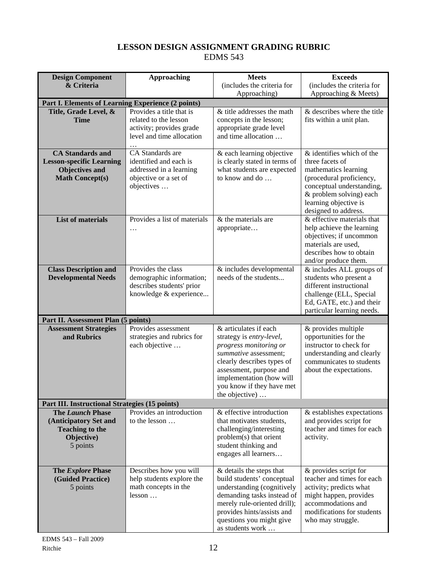# **LESSON DESIGN ASSIGNMENT GRADING RUBRIC**  EDMS 543

| <b>Design Component</b>                                                                                       | <b>Approaching</b>                                                                                           | <b>Meets</b>                                                                                                                                                                                                                             | <b>Exceeds</b>                                                                                                                                                                                            |  |  |
|---------------------------------------------------------------------------------------------------------------|--------------------------------------------------------------------------------------------------------------|------------------------------------------------------------------------------------------------------------------------------------------------------------------------------------------------------------------------------------------|-----------------------------------------------------------------------------------------------------------------------------------------------------------------------------------------------------------|--|--|
| & Criteria                                                                                                    |                                                                                                              | (includes the criteria for                                                                                                                                                                                                               | (includes the criteria for                                                                                                                                                                                |  |  |
|                                                                                                               |                                                                                                              | Approaching)                                                                                                                                                                                                                             | Approaching & Meets)                                                                                                                                                                                      |  |  |
| Part I. Elements of Learning Experience (2 points)                                                            |                                                                                                              |                                                                                                                                                                                                                                          |                                                                                                                                                                                                           |  |  |
| Title, Grade Level, &<br><b>Time</b>                                                                          | Provides a title that is<br>related to the lesson<br>activity; provides grade<br>level and time allocation   | & title addresses the math<br>concepts in the lesson;<br>appropriate grade level<br>and time allocation                                                                                                                                  | & describes where the title<br>fits within a unit plan.                                                                                                                                                   |  |  |
| <b>CA Standards and</b><br><b>Lesson-specific Learning</b><br><b>Objectives and</b><br><b>Math Concept(s)</b> | CA Standards are<br>identified and each is<br>addressed in a learning<br>objective or a set of<br>objectives | & each learning objective<br>is clearly stated in terms of<br>what students are expected<br>to know and do                                                                                                                               | & identifies which of the<br>three facets of<br>mathematics learning<br>(procedural proficiency,<br>conceptual understanding,<br>& problem solving) each<br>learning objective is<br>designed to address. |  |  |
| <b>List of materials</b>                                                                                      | Provides a list of materials<br>$\cdots$                                                                     | & the materials are<br>appropriate                                                                                                                                                                                                       | & effective materials that<br>help achieve the learning<br>objectives; if uncommon<br>materials are used.<br>describes how to obtain<br>and/or produce them.                                              |  |  |
| <b>Class Description and</b><br><b>Developmental Needs</b>                                                    | Provides the class<br>demographic information;<br>describes students' prior<br>knowledge & experience        | & includes developmental<br>needs of the students                                                                                                                                                                                        | & includes ALL groups of<br>students who present a<br>different instructional<br>challenge (ELL, Special<br>Ed, GATE, etc.) and their<br>particular learning needs.                                       |  |  |
| Part II. Assessment Plan (5 points)                                                                           |                                                                                                              |                                                                                                                                                                                                                                          |                                                                                                                                                                                                           |  |  |
| <b>Assessment Strategies</b><br>and Rubrics                                                                   | Provides assessment<br>strategies and rubrics for<br>each objective                                          | & articulates if each<br>strategy is entry-level,<br>progress monitoring or<br>summative assessment;<br>clearly describes types of<br>assessment, purpose and<br>implementation (how will<br>you know if they have met<br>the objective) | & provides multiple<br>opportunities for the<br>instructor to check for<br>understanding and clearly<br>communicates to students<br>about the expectations.                                               |  |  |
| Part III. Instructional Strategies (15 points)                                                                |                                                                                                              |                                                                                                                                                                                                                                          |                                                                                                                                                                                                           |  |  |
| <b>The Launch Phase</b><br>(Anticipatory Set and<br><b>Teaching to the</b><br>Objective)<br>5 points          | Provides an introduction<br>to the lesson                                                                    | & effective introduction<br>that motivates students,<br>challenging/interesting<br>problem(s) that orient<br>student thinking and<br>engages all learners                                                                                | & establishes expectations<br>and provides script for<br>teacher and times for each<br>activity.                                                                                                          |  |  |
| The Explore Phase<br>(Guided Practice)<br>5 points                                                            | Describes how you will<br>help students explore the<br>math concepts in the<br>lesson                        | & details the steps that<br>build students' conceptual<br>understanding (cognitively<br>demanding tasks instead of<br>merely rule-oriented drill);<br>provides hints/assists and<br>questions you might give<br>as students work         | & provides script for<br>teacher and times for each<br>activity; predicts what<br>might happen, provides<br>accommodations and<br>modifications for students<br>who may struggle.                         |  |  |